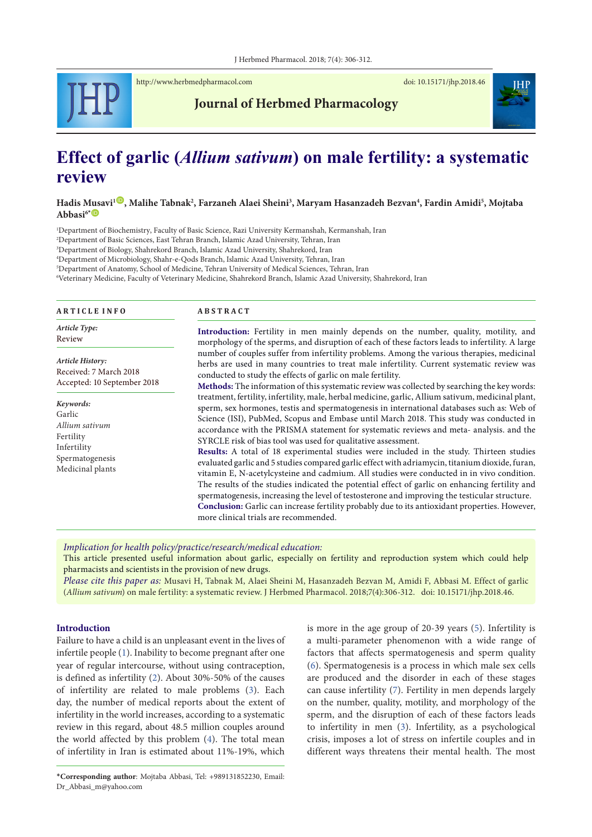<http://www.herbmedpharmacol.com> doi: [10.15171/jhp.2018.](https://doi.org/10.15171/jhp.2018.46)46



**Journal of Herbmed Pharmacology**

# **Effect of garlic (***Allium sativum***) on male fertility: a systematic review**

**Hadis Musavi1** [ID](http://orcid.org/0000-0003-1860-2387) **, Malihe Tabnak2 , Farzaneh Alaei Sheini3 , Maryam Hasanzadeh Bezvan4 , Fardin Amidi5 , Mojtaba**  Abbasi<sup>6</sub>**<sup>\*</sup>**</sup>

Department of Biochemistry, Faculty of Basic Science, Razi University Kermanshah, Kermanshah, Iran Department of Basic Sciences, East Tehran Branch, Islamic Azad University, Tehran, Iran Department of Biology, Shahrekord Branch, Islamic Azad University, Shahrekord, Iran Department of Microbiology, Shahr-e-Qods Branch, Islamic Azad University, Tehran, Iran <sup>5</sup>Department of Anatomy, School of Medicine, Tehran University of Medical Sciences, Tehran, Iran

<sup>6</sup>Veterinary Medicine, Faculty of Veterinary Medicine, Shahrekord Branch, Islamic Azad University, Shahrekord, Iran

| <b>ARTICLE INFO</b>                                                       | <b>ABSTRACT</b>                                                                                                                                                                                                                                                                                                                                                                                                                                                                                                                                                                                                                        |  |  |  |  |  |
|---------------------------------------------------------------------------|----------------------------------------------------------------------------------------------------------------------------------------------------------------------------------------------------------------------------------------------------------------------------------------------------------------------------------------------------------------------------------------------------------------------------------------------------------------------------------------------------------------------------------------------------------------------------------------------------------------------------------------|--|--|--|--|--|
| Article Type:<br>Review                                                   | Introduction: Fertility in men mainly depends on the number, quality, motility, and<br>morphology of the sperms, and disruption of each of these factors leads to infertility. A large                                                                                                                                                                                                                                                                                                                                                                                                                                                 |  |  |  |  |  |
| Article History:<br>Received: 7 March 2018<br>Accepted: 10 September 2018 | number of couples suffer from infertility problems. Among the various therapies, medicinal<br>herbs are used in many countries to treat male infertility. Current systematic review was<br>conducted to study the effects of garlic on male fertility.                                                                                                                                                                                                                                                                                                                                                                                 |  |  |  |  |  |
| Keywords:<br>Garlic<br>Allium sativum<br>Fertility                        | Methods: The information of this systematic review was collected by searching the key words:<br>treatment, fertility, infertility, male, herbal medicine, garlic, Allium sativum, medicinal plant,<br>sperm, sex hormones, testis and spermatogenesis in international databases such as: Web of<br>Science (ISI), PubMed, Scopus and Embase until March 2018. This study was conducted in<br>accordance with the PRISMA statement for systematic reviews and meta- analysis, and the<br>SYRCLE risk of bias tool was used for qualitative assessment.                                                                                 |  |  |  |  |  |
| Infertility<br>Spermatogenesis<br>Medicinal plants                        | Results: A total of 18 experimental studies were included in the study. Thirteen studies<br>evaluated garlic and 5 studies compared garlic effect with adriamycin, titanium dioxide, furan,<br>vitamin E, N-acetylcysteine and cadmium. All studies were conducted in in vivo condition.<br>The results of the studies indicated the potential effect of garlic on enhancing fertility and<br>spermatogenesis, increasing the level of testosterone and improving the testicular structure.<br>Conclusion: Garlic can increase fertility probably due to its antioxidant properties. However,<br>more clinical trials are recommended. |  |  |  |  |  |

*Implication for health policy/practice/research/medical education:*

This article presented useful information about garlic, especially on fertility and reproduction system which could help pharmacists and scientists in the provision of new drugs.

*Please cite this paper as:* Musavi H, Tabnak M, Alaei Sheini M, Hasanzadeh Bezvan M, Amidi F, Abbasi M. Effect of garlic (*Allium sativum*) on male fertility: a systematic review. J Herbmed Pharmacol. 2018;7(4):306-312. doi: [10.15171/jhp.2018.](https://doi.org/10.15171/jhp.2018.15)46.

# **Introduction**

Failure to have a child is an unpleasant event in the lives of infertile people [\(1](#page-5-0)). Inability to become pregnant after one year of regular intercourse, without using contraception, is defined as infertility [\(2](#page-5-1)). About 30%-50% of the causes of infertility are related to male problems [\(3](#page-5-2)). Each day, the number of medical reports about the extent of infertility in the world increases, according to a systematic review in this regard, about 48.5 million couples around the world affected by this problem [\(4](#page-5-3)). The total mean of infertility in Iran is estimated about 11%-19%, which is more in the age group of 20-39 years [\(5\)](#page-5-4). Infertility is a multi-parameter phenomenon with a wide range of factors that affects spermatogenesis and sperm quality [\(6](#page-5-5)). Spermatogenesis is a process in which male sex cells are produced and the disorder in each of these stages can cause infertility [\(7\)](#page-5-6). Fertility in men depends largely on the number, quality, motility, and morphology of the sperm, and the disruption of each of these factors leads to infertility in men ([3\)](#page-5-2). Infertility, as a psychological crisis, imposes a lot of stress on infertile couples and in different ways threatens their mental health. The most

<sup>\*</sup>**Corresponding author**: Mojtaba Abbasi, Tel: +989131852230, Email: Dr\_Abbasi\_m@yahoo.com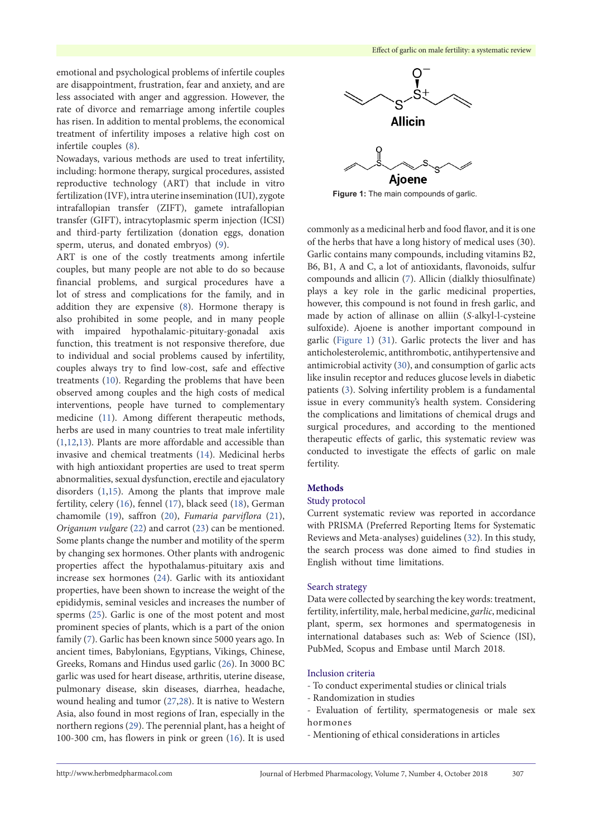emotional and psychological problems of infertile couples are disappointment, frustration, fear and anxiety, and are less associated with anger and aggression. However, the rate of divorce and remarriage among infertile couples has risen. In addition to mental problems, the economical treatment of infertility imposes a relative high cost on infertile couples ([8\)](#page-5-7).

Nowadays, various methods are used to treat infertility, including: hormone therapy, surgical procedures, assisted reproductive technology (ART) that include in vitro fertilization (IVF), intra uterine insemination (IUI), zygote intrafallopian transfer (ZIFT), gamete intrafallopian transfer (GIFT), intracytoplasmic sperm injection (ICSI) and third-party fertilization (donation eggs, donation sperm, uterus, and donated embryos) ([9\)](#page-5-8).

ART is one of the costly treatments among infertile couples, but many people are not able to do so because financial problems, and surgical procedures have a lot of stress and complications for the family, and in addition they are expensive [\(8\)](#page-5-7). Hormone therapy is also prohibited in some people, and in many people with impaired hypothalamic-pituitary-gonadal axis function, this treatment is not responsive therefore, due to individual and social problems caused by infertility, couples always try to find low-cost, safe and effective treatments [\(10\)](#page-5-9). Regarding the problems that have been observed among couples and the high costs of medical interventions, people have turned to complementary medicine ([11](#page-5-10)). Among different therapeutic methods, herbs are used in many countries to treat male infertility [\(1](#page-5-0)[,12,](#page-5-11)[13\)](#page-5-12). Plants are more affordable and accessible than invasive and chemical treatments [\(14\)](#page-5-13). Medicinal herbs with high antioxidant properties are used to treat sperm abnormalities, sexual dysfunction, erectile and ejaculatory disorders ([1,](#page-5-0)[15](#page-5-14)). Among the plants that improve male fertility, celery [\(16](#page-5-15)), fennel [\(17](#page-5-16)), black seed [\(18\)](#page-5-17), German chamomile [\(19\)](#page-5-18), saffron [\(20\)](#page-5-19), *Fumaria parviflora* ([21\)](#page-5-20), *Origanum vulgare* [\(22\)](#page-5-21) and carrot ([23\)](#page-5-22) can be mentioned. Some plants change the number and motility of the sperm by changing sex hormones. Other plants with androgenic properties affect the hypothalamus-pituitary axis and increase sex hormones ([24](#page-5-23)). Garlic with its antioxidant properties, have been shown to increase the weight of the epididymis, seminal vesicles and increases the number of sperms [\(25](#page-6-0)). Garlic is one of the most potent and most prominent species of plants, which is a part of the onion family [\(7](#page-5-6)). Garlic has been known since 5000 years ago. In ancient times, Babylonians, Egyptians, Vikings, Chinese, Greeks, Romans and Hindus used garlic [\(26\)](#page-6-1). In 3000 BC garlic was used for heart disease, arthritis, uterine disease, pulmonary disease, skin diseases, diarrhea, headache, wound healing and tumor [\(27,](#page-6-2)[28\)](#page-6-3). It is native to Western Asia, also found in most regions of Iran, especially in the northern regions ([29](#page-6-4)). The perennial plant, has a height of 100-300 cm, has flowers in pink or green ([16\)](#page-5-15). It is used

<span id="page-1-0"></span>

**Figure 1:** The main compounds of garlic.

commonly as a medicinal herb and food flavor, and it is one of the herbs that have a long history of medical uses (30). Garlic contains many compounds, including vitamins B2, B6, B1, A and C, a lot of antioxidants, flavonoids, sulfur compounds and allicin ([7\)](#page-5-6). Allicin (dialkly thiosulfinate) plays a key role in the garlic medicinal properties, however, this compound is not found in fresh garlic, and made by action of allinase on alliin (*S*-alkyl-l-cysteine sulfoxide). Ajoene is another important compound in garlic ([Figure](#page-1-0) 1) [\(31\)](#page-6-5). Garlic protects the liver and has anticholesterolemic, antithrombotic, antihypertensive and antimicrobial activity ([30](#page-6-6)), and consumption of garlic acts like insulin receptor and reduces glucose levels in diabetic patients ([3\)](#page-5-2). Solving infertility problem is a fundamental issue in every community's health system. Considering the complications and limitations of chemical drugs and surgical procedures, and according to the mentioned therapeutic effects of garlic, this systematic review was conducted to investigate the effects of garlic on male fertility.

#### **Methods**

#### Study protocol

Current systematic review was reported in accordance with PRISMA (Preferred Reporting Items for Systematic Reviews and Meta-analyses) guidelines ([32\)](#page-6-7). In this study, the search process was done aimed to find studies in English without time limitations.

#### Search strategy

Data were collected by searching the key words: treatment, fertility, infertility, male, herbal medicine, *garlic*, medicinal plant, sperm, sex hormones and spermatogenesis in international databases such as: Web of Science (ISI), PubMed, Scopus and Embase until March 2018.

# Inclusion criteria

- To conduct experimental studies or clinical trials
- Randomization in studies
- Evaluation of fertility, spermatogenesis or male sex hormones
- Mentioning of ethical considerations in articles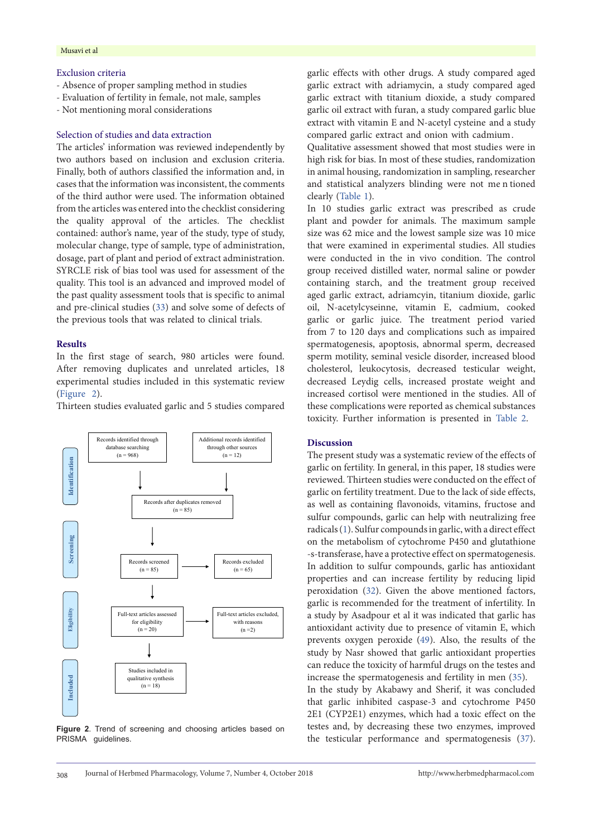## Exclusion criteria

- Absence of proper sampling method in studies
- Evaluation of fertility in female, not male, samples
- Not mentioning moral considerations

#### Selection of studies and data extraction

The articles' information was reviewed independently by two authors based on inclusion and exclusion criteria. Finally, both of authors classified the information and, in cases that the information was inconsistent, the comments of the third author were used. The information obtained from the articles was entered into the checklist considering the quality approval of the articles. The checklist contained: author's name, year of the study, type of study, molecular change, type of sample, type of administration, dosage, part of plant and period of extract administration. SYRCLE risk of bias tool was used for assessment of the quality. This tool is an advanced and improved model of the past quality assessment tools that is specific to animal and pre-clinical studies ([33](#page-6-8)) and solve some of defects of the previous tools that was related to clinical trials.

## **Results**

In the first stage of search, 980 articles were found. After removing duplicates and unrelated articles, 18 experimental studies included in this systematic review [\(Figure](#page-2-0) 2).

<span id="page-2-0"></span>Thirteen studies evaluated garlic and 5 studies compared



Figure 2. Trend of screening and choosing articles based on PRISMA guidelines.

garlic effects with other drugs. A study compared aged garlic extract with adriamycin, a study compared aged garlic extract with titanium dioxide, a study compared garlic oil extract with furan, a study compared garlic blue extract with vitamin E and N-acetyl cysteine and a study compared garlic extract and onion with cadmium.

Qualitative assessment showed that most studies were in high risk for bias. In most of these studies, randomization in animal housing, randomization in sampling, researcher and statistical analyzers blinding were not me n tioned clearly ([Table](#page-3-0) 1).

In 10 studies garlic extract was prescribed as crude plant and powder for animals. The maximum sample size was 62 mice and the lowest sample size was 10 mice that were examined in experimental studies. All studies were conducted in the in vivo condition. The control group received distilled water, normal saline or powder containing starch, and the treatment group received aged garlic extract, adriamcyin, titanium dioxide, garlic oil, N-acetylcyseinne, vitamin E, cadmium, cooked garlic or garlic juice. The treatment period varied from 7 to 120 days and complications such as impaired spermatogenesis, apoptosis, abnormal sperm, decreased sperm motility, seminal vesicle disorder, increased blood cholesterol, leukocytosis, decreased testicular weight, decreased Leydig cells, increased prostate weight and increased cortisol were mentioned in the studies. All of these complications were reported as chemical substances toxicity. Further information is presented in [Table](#page-4-0) 2.

#### **Discussion**

The present study was a systematic review of the effects of garlic on fertility. In general, in this paper, 18 studies were reviewed. Thirteen studies were conducted on the effect of garlic on fertility treatment. Due to the lack of side effects, as well as containing flavonoids, vitamins, fructose and sulfur compounds, garlic can help with neutralizing free radicals ([1\)](#page-5-0). Sulfur compounds in garlic, with a direct effect on the metabolism of cytochrome P450 and glutathione -s-transferase, have a protective effect on spermatogenesis. In addition to sulfur compounds, garlic has antioxidant properties and can increase fertility by reducing lipid peroxidation [\(32\)](#page-6-7). Given the above mentioned factors, garlic is recommended for the treatment of infertility. In a study by Asadpour et al it was indicated that garlic has antioxidant activity due to presence of vitamin E, which prevents oxygen peroxide ([49](#page-6-9)). Also, the results of the study by Nasr showed that garlic antioxidant properties can reduce the toxicity of harmful drugs on the testes and increase the spermatogenesis and fertility in men [\(35\)](#page-6-10).

In the study by Akabawy and Sherif, it was concluded that garlic inhibited caspase-3 and cytochrome P450 2E1 (CYP2E1) enzymes, which had a toxic effect on the testes and, by decreasing these two enzymes, improved the testicular performance and spermatogenesis [\(37\)](#page-6-11).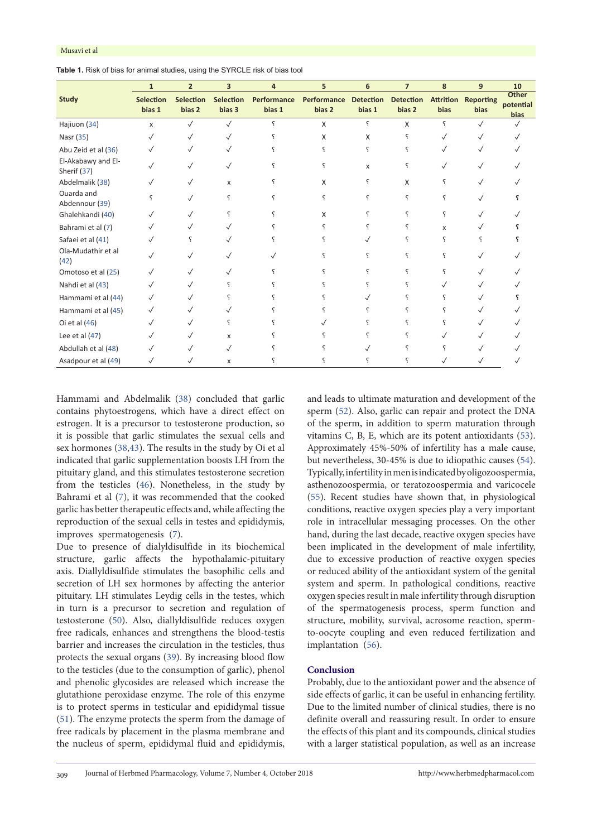<span id="page-3-0"></span>

|                                   | $\mathbf{1}$               | $\overline{2}$             | $\overline{\mathbf{3}}$ | 4                     | 5                     | 6                          | $\overline{7}$             | 8                        | 9                        | 10                                |
|-----------------------------------|----------------------------|----------------------------|-------------------------|-----------------------|-----------------------|----------------------------|----------------------------|--------------------------|--------------------------|-----------------------------------|
| <b>Study</b>                      | <b>Selection</b><br>bias 1 | <b>Selection</b><br>bias 2 | Selection<br>bias 3     | Performance<br>bias 1 | Performance<br>bias 2 | <b>Detection</b><br>bias 1 | <b>Detection</b><br>bias 2 | <b>Attrition</b><br>bias | <b>Reporting</b><br>bias | Other<br>potential<br><b>bias</b> |
| Hajiuon (34)                      | X                          | $\checkmark$               | $\checkmark$            | ς                     | X                     | ç                          | X                          | ç                        | $\sqrt{}$                |                                   |
| Nasr (35)                         | ✓                          | $\checkmark$               | $\checkmark$            |                       | X                     | X                          | ç                          | $\checkmark$             |                          |                                   |
| Abu Zeid et al (36)               |                            |                            |                         |                       | ς                     |                            | ς                          |                          |                          |                                   |
| El-Akabawy and El-<br>Sherif (37) | $\checkmark$               |                            | $\checkmark$            |                       | ς                     | X                          | ς                          | $\checkmark$             |                          |                                   |
| Abdelmalik (38)                   | ✓                          |                            | x                       |                       | X                     | ς                          | X                          | ç                        | ✓                        |                                   |
| Ouarda and<br>Abdennour (39)      | ς                          |                            | ç                       |                       | ç                     | ς                          | ç                          | ς                        |                          |                                   |
| Ghalehkandi (40)                  | √                          |                            |                         |                       | X                     | ς                          | ς                          | ç                        |                          |                                   |
| Bahrami et al (7)                 |                            |                            |                         |                       |                       |                            |                            | X                        |                          |                                   |
| Safaei et al (41)                 |                            |                            |                         |                       |                       |                            | ς                          | ç                        |                          |                                   |
| Ola-Mudathir et al<br>(42)        |                            |                            |                         |                       |                       |                            | ς                          | ç                        |                          |                                   |
| Omotoso et al (25)                |                            |                            |                         |                       |                       |                            |                            |                          |                          |                                   |
| Nahdi et al (43)                  | ✓                          |                            |                         |                       |                       |                            |                            |                          |                          |                                   |
| Hammami et al (44)                | √                          |                            |                         |                       |                       |                            |                            |                          |                          |                                   |
| Hammami et al (45)                | $\checkmark$               |                            |                         |                       |                       |                            |                            |                          |                          |                                   |
| Oi et al (46)                     | $\checkmark$               |                            | ç                       |                       |                       |                            |                            |                          |                          |                                   |
| Lee et al $(47)$                  |                            |                            | X                       |                       |                       |                            |                            |                          |                          |                                   |
| Abdullah et al (48)               |                            |                            | $\checkmark$            |                       |                       |                            |                            |                          |                          |                                   |
| Asadpour et al (49)               | $\sqrt{}$                  |                            | X                       |                       |                       |                            |                            |                          |                          |                                   |

Hammami and Abdelmalik ([38](#page-6-12)) concluded that garlic contains phytoestrogens, which have a direct effect on estrogen. It is a precursor to testosterone production, so it is possible that garlic stimulates the sexual cells and sex hormones [\(38](#page-6-12)[,43\)](#page-6-13). The results in the study by Oi et al indicated that garlic supplementation boosts LH from the pituitary gland, and this stimulates testosterone secretion from the testicles [\(46](#page-6-14)). Nonetheless, in the study by Bahrami et al [\(7](#page-5-6)), it was recommended that the cooked garlic has better therapeutic effects and, while affecting the reproduction of the sexual cells in testes and epididymis, improves spermatogenesis ([7](#page-5-6)).

Due to presence of dialyldisulfide in its biochemical structure, garlic affects the hypothalamic-pituitary axis. Diallyldisulfide stimulates the basophilic cells and secretion of LH sex hormones by affecting the anterior pituitary. LH stimulates Leydig cells in the testes, which in turn is a precursor to secretion and regulation of testosterone [\(50\)](#page-6-15). Also, diallyldisulfide reduces oxygen free radicals, enhances and strengthens the blood-testis barrier and increases the circulation in the testicles, thus protects the sexual organs ([39](#page-6-16)). By increasing blood flow to the testicles (due to the consumption of garlic), phenol and phenolic glycosides are released which increase the glutathione peroxidase enzyme. The role of this enzyme is to protect sperms in testicular and epididymal tissue [\(51\)](#page-6-17). The enzyme protects the sperm from the damage of free radicals by placement in the plasma membrane and the nucleus of sperm, epididymal fluid and epididymis,

and leads to ultimate maturation and development of the sperm ([52](#page-6-18)). Also, garlic can repair and protect the DNA of the sperm, in addition to sperm maturation through vitamins C, B, E, which are its potent antioxidants [\(53\)](#page-6-19). Approximately 45%-50% of infertility has a male cause, but nevertheless, 30-45% is due to idiopathic causes [\(54\)](#page-6-20). Typically, infertility in men is indicated by oligozoospermia, asthenozoospermia, or teratozoospermia and varicocele [\(55](#page-6-21)). Recent studies have shown that, in physiological conditions, reactive oxygen species play a very important role in intracellular messaging processes. On the other hand, during the last decade, reactive oxygen species have been implicated in the development of male infertility, due to excessive production of reactive oxygen species or reduced ability of the antioxidant system of the genital system and sperm. In pathological conditions, reactive oxygen species result in male infertility through disruption of the spermatogenesis process, sperm function and structure, mobility, survival, acrosome reaction, spermto-oocyte coupling and even reduced fertilization and implantation ([56\)](#page-6-22).

#### **Conclusion**

Probably, due to the antioxidant power and the absence of side effects of garlic, it can be useful in enhancing fertility. Due to the limited number of clinical studies, there is no definite overall and reassuring result. In order to ensure the effects of this plant and its compounds, clinical studies with a larger statistical population, as well as an increase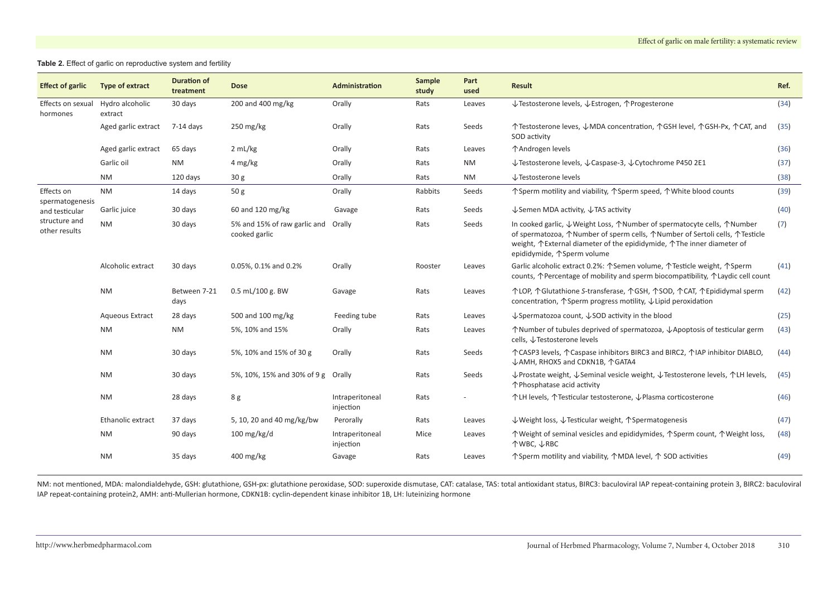#### **Table 2.** Effect of garlic on reproductive system and fertility

| <b>Effect of garlic</b>                                                           | Type of extract                       | <b>Duration of</b><br>treatment | <b>Dose</b>                                   | Administration               | Sample<br>study | Part<br>used | <b>Result</b>                                                                                                                                                                                                                                                  | Ref. |
|-----------------------------------------------------------------------------------|---------------------------------------|---------------------------------|-----------------------------------------------|------------------------------|-----------------|--------------|----------------------------------------------------------------------------------------------------------------------------------------------------------------------------------------------------------------------------------------------------------------|------|
| Effects on sexual<br>hormones                                                     | Hydro alcoholic<br>30 days<br>extract |                                 | 200 and 400 mg/kg                             | Orally                       | Rats            | Leaves       | ↓Testosterone levels, ↓Estrogen, ↑Progesterone                                                                                                                                                                                                                 | (34) |
|                                                                                   | Aged garlic extract                   | 7-14 days                       | $250 \,\mathrm{mg/kg}$                        | Orally                       | Rats            | Seeds        | 个Testosterone leves, ↓MDA concentration, 个GSH level, 个GSH-Px, 个CAT, and<br>SOD activity                                                                                                                                                                        | (35) |
|                                                                                   | Aged garlic extract                   | 65 days                         | 2 mL/kg                                       | Orally                       | Rats            | Leaves       | ↑Androgen levels                                                                                                                                                                                                                                               | (36) |
|                                                                                   | Garlic oil                            | <b>NM</b>                       | 4 mg/kg                                       | Orally                       | Rats            | <b>NM</b>    | ↓Testosterone levels, ↓Caspase-3, ↓Cytochrome P450 2E1                                                                                                                                                                                                         | (37) |
|                                                                                   | <b>NM</b>                             | 120 days                        | 30 <sub>g</sub>                               | Orally                       | Rats            | <b>NM</b>    | ↓Testosterone levels                                                                                                                                                                                                                                           | (38) |
| Effects on<br>spermatogenesis<br>and testicular<br>structure and<br>other results | <b>NM</b>                             | 14 days                         | 50 <sub>g</sub>                               | Orally                       | Rabbits         | Seeds        | ↑ Sperm motility and viability, ↑ Sperm speed, ↑ White blood counts                                                                                                                                                                                            |      |
|                                                                                   | Garlic juice                          | 30 days                         | 60 and 120 mg/kg                              | Gavage                       | Rats            | Seeds        | ↓Semen MDA activity, ↓TAS activity                                                                                                                                                                                                                             | (40) |
|                                                                                   | <b>NM</b>                             | 30 days                         | 5% and 15% of raw garlic and<br>cooked garlic | Orally                       | Rats            | Seeds        | In cooked garlic, ↓Weight Loss, ↑Number of spermatocyte cells, ↑Number<br>of spermatozoa, 个Number of sperm cells, 个Number of Sertoli cells, 个Testicle<br>weight, ↑ External diameter of the epididymide, ↑ The inner diameter of<br>epididymide, 个Sperm volume |      |
|                                                                                   | Alcoholic extract                     | 30 days                         | 0.05%, 0.1% and 0.2%                          | Orally                       | Rooster         | Leaves       | Garlic alcoholic extract 0.2%: 个Semen volume, 个Testicle weight, 个Sperm<br>counts, <i>^</i> Percentage of mobility and sperm biocompatibility, <i>^</i> Laydic cell count                                                                                       | (41) |
|                                                                                   | <b>NM</b>                             | Between 7-21<br>days            | 0.5 mL/100 g. BW                              | Gavage                       | Rats            | Leaves       | 个LOP, 个Glutathione S-transferase, 个GSH, 个SOD, 个CAT, 个Epididymal sperm<br>concentration, $\uparrow$ Sperm progress motility, $\downarrow$ Lipid peroxidation                                                                                                    | (42) |
|                                                                                   | Aqueous Extract                       | 28 days                         | 500 and 100 mg/kg                             | Feeding tube                 | Rats            | Leaves       | $\downarrow$ Spermatozoa count, $\downarrow$ SOD activity in the blood                                                                                                                                                                                         | (25) |
|                                                                                   | <b>NM</b>                             | <b>NM</b>                       | 5%, 10% and 15%                               | Orally                       | Rats            | Leaves       | ↑Number of tubules deprived of spermatozoa, ↓Apoptosis of testicular germ<br>cells, ↓Testosterone levels                                                                                                                                                       | (43) |
|                                                                                   | <b>NM</b>                             | 30 days                         | 5%, 10% and 15% of 30 g                       | Orally                       | Rats            | Seeds        | ↑ CASP3 levels, ↑ Caspase inhibitors BIRC3 and BIRC2, ↑ IAP inhibitor DIABLO,<br>↓AMH, RHOX5 and CDKN1B, 个GATA4                                                                                                                                                | (44) |
|                                                                                   | <b>NM</b>                             | 30 days                         | 5%, 10%, 15% and 30% of 9 g Orally            |                              | Rats            | Seeds        | $\downarrow$ Prostate weight, $\downarrow$ Seminal vesicle weight, $\downarrow$ Testosterone levels, $\uparrow$ LH levels,<br>↑Phosphatase acid activity                                                                                                       | (45) |
|                                                                                   | <b>NM</b>                             | 28 days                         | 8 g                                           | Intraperitoneal<br>injection | Rats            |              | ↑LH levels, ↑Testicular testosterone, ↓Plasma corticosterone                                                                                                                                                                                                   | (46) |
|                                                                                   | Ethanolic extract                     | 37 days                         | 5, 10, 20 and 40 mg/kg/bw                     | Perorally                    | Rats            | Leaves       | ↓Weight loss, ↓Testicular weight, ↑Spermatogenesis                                                                                                                                                                                                             | (47) |
|                                                                                   | <b>NM</b>                             | 90 days                         | $100$ mg/kg/d                                 | Intraperitoneal<br>injection | Mice            | Leaves       | ↑ Weight of seminal vesicles and epididymides, ↑ Sperm count, ↑ Weight loss,<br>↑WBC, ↓RBC                                                                                                                                                                     | (48) |
|                                                                                   | <b>NM</b>                             | 35 days                         | 400 mg/kg                                     | Gavage                       | Rats            | Leaves       | ↑ Sperm motility and viability, ↑ MDA level, ↑ SOD activities                                                                                                                                                                                                  | (49) |

<span id="page-4-0"></span>NM: not mentioned, MDA: malondialdehyde, GSH: glutathione, GSH-px: glutathione peroxidase, SOD: superoxide dismutase, CAT: catalase, TAS: total antioxidant status, BIRC3: baculoviral IAP repeat-containing protein 3, BIRC2: IAP repeat-containing protein2, AMH: anti-Mullerian hormone, CDKN1B: cyclin-dependent kinase inhibitor 1B, LH: luteinizing hormone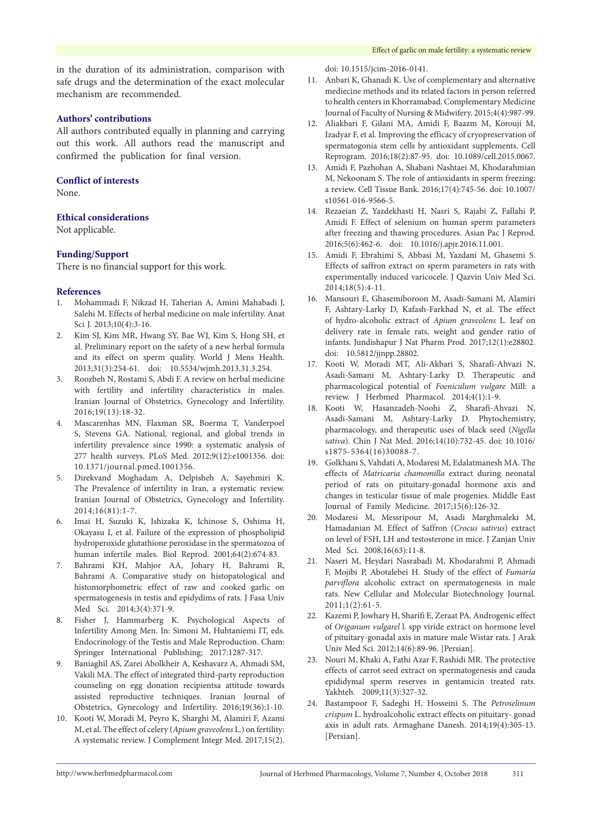in the duration of its administration, comparison with safe drugs and the determination of the exact molecular mechanism are recommended.

#### **Authors' contributions**

All authors contributed equally in planning and carrying out this work. All authors read the manuscript and confirmed the publication for final version.

## **Conflict of interests**

None.

#### **Ethical considerations**

Not applicable.

## **Funding/Support**

There is no financial support for this work.

#### **References**

- <span id="page-5-24"></span><span id="page-5-0"></span>1. Mohammadi F, Nikzad H, Taherian A, Amini Mahabadi J, Salehi M. Effects of herbal medicine on male infertility. Anat Sci J. 2013;10(4):3-16.
- <span id="page-5-1"></span>2. Kim SJ, Kim MR, Hwang SY, Bae WJ, Kim S, Hong SH, et al. Preliminary report on the safety of a new herbal formula and its effect on sperm quality. World J Mens Health. 2013;31(3):254-61. doi: 10.5534/wjmh.2013.31.3.254.
- <span id="page-5-2"></span>3. Roozbeh N, Rostami S, Abdi F. A review on herbal medicine with fertility and infertility characteristics in males. Iranian Journal of Obstetrics, Gynecology and Infertility. 2016;19(13):18-32.
- <span id="page-5-3"></span>4. Mascarenhas MN, Flaxman SR, Boerma T, Vanderpoel S, Stevens GA. National, regional, and global trends in infertility prevalence since 1990: a systematic analysis of 277 health surveys. PLoS Med. 2012;9(12):e1001356. doi: 10.1371/journal.pmed.1001356.
- <span id="page-5-4"></span>5. Direkvand Moghadam A, Delpisheh A, Sayehmiri K. The Prevalence of infertility in Iran, a systematic review. Iranian Journal of Obstetrics, Gynecology and Infertility. 2014;16(81):1-7.
- <span id="page-5-5"></span>6. Imai H, Suzuki K, Ishizaka K, Ichinose S, Oshima H, Okayasu I, et al. Failure of the expression of phospholipid hydroperoxide glutathione peroxidase in the spermatozoa of human infertile males. Biol Reprod. 2001;64(2):674-83.
- <span id="page-5-6"></span>7. Bahrami KH, Mahjor AA, Johary H, Bahrami R, Bahrami A. Comparative study on histopatological and histomorphometric effect of raw and cooked garlic on spermatogenesis in testis and epidydims of rats. J Fasa Univ Med Sci. 2014;3(4):371-9.
- <span id="page-5-7"></span>8. Fisher J, Hammarberg K. Psychological Aspects of Infertility Among Men. In: Simoni M, Huhtaniemi IT, eds. Endocrinology of the Testis and Male Reproduction. Cham: Springer International Publishing; 2017:1287-317.
- <span id="page-5-8"></span>9. Baniaghil AS, Zarei Abolkheir A, Keshavarz A, Ahmadi SM, Vakili MA. The effect of integrated third-party reproduction counseling on egg donation recipientsa attitude towards assisted reproductive techniques. Iranian Journal of Obstetrics, Gynecology and Infertility. 2016;19(36):1-10.
- <span id="page-5-9"></span>10. Kooti W, Moradi M, Peyro K, Sharghi M, Alamiri F, Azami M, et al. The effect of celery (*Apium graveolens* L.) on fertility: A systematic review. J Complement Integr Med. 2017;15(2).

<span id="page-5-10"></span>doi: 10.1515/jcim-2016-0141.

- 11. Anbari K, Ghanadi K. Use of complementary and alternative mediecine methods and its related factors in person referred to health centers in Khorramabad. Complementary Medicine Journal of Faculty of Nursing & Midwifery. 2015;4(4):987-99.
- <span id="page-5-11"></span>12. Aliakbari F, Gilani MA, Amidi F, Baazm M, Korouji M, Izadyar F, et al. Improving the efficacy of cryopreservation of spermatogonia stem cells by antioxidant supplements. Cell Reprogram. 2016;18(2):87-95. doi: 10.1089/cell.2015.0067.
- <span id="page-5-12"></span>13. Amidi F, Pazhohan A, Shabani Nashtaei M, Khodarahmian M, Nekoonam S. The role of antioxidants in sperm freezing: a review. Cell Tissue Bank. 2016;17(4):745-56. doi: 10.1007/ s10561-016-9566-5.
- <span id="page-5-13"></span>14. Rezaeian Z, Yazdekhasti H, Nasri S, Rajabi Z, Fallahi P, Amidi F. Effect of selenium on human sperm parameters after freezing and thawing procedures. Asian Pac J Reprod. 2016;5(6):462-6. doi: 10.1016/j.apjr.2016.11.001.
- <span id="page-5-14"></span>15. Amidi F, Ebrahimi S, Abbasi M, Yazdani M, Ghasemi S. Effects of saffron extract on sperm parameters in rats with experimentally induced varicocele. J Qazvin Univ Med Sci. 2014;18(5):4-11.
- <span id="page-5-15"></span>16. Mansouri E, Ghasemiboroon M, Asadi-Samani M, Alamiri F, Ashtary-Larky D, Kafash-Farkhad N, et al. The effect of hydro-alcoholic extract of *Apium graveolens* L. leaf on delivery rate in female rats, weight and gender ratio of infants. Jundishapur J Nat Pharm Prod. 2017;12(1):e28802. doi: 10.5812/jjnpp.28802.
- <span id="page-5-16"></span>17. Kooti W, Moradi MT, Ali-Akbari S, Sharafi-Ahvazi N, Asadi-Samani M, Ashtary-Larky D. Therapeutic and pharmacological potential of *Foeniculum vulgare* Mill: a review. J Herbmed Pharmacol. 2014;4(1):1-9.
- <span id="page-5-17"></span>18. Kooti W, Hasanzadeh-Noohi Z, Sharafi-Ahvazi N, Asadi-Samani M, Ashtary-Larky D. Phytochemistry, pharmacology, and therapeutic uses of black seed (*Nigella sativa*). Chin J Nat Med. 2016;14(10):732-45. doi: 10.1016/ s1875-5364(16)30088-7.
- <span id="page-5-18"></span>19. Golkhani S, Vahdati A, Modaresi M, Edalatmanesh MA. The effects of *Matricaria chamomilla* extract during neonatal period of rats on pituitary-gonadal hormone axis and changes in testicular tissue of male progenies. Middle East Journal of Family Medicine. 2017;15(6):126-32.
- <span id="page-5-19"></span>20. Modaresi M, Messripour M, Asadi Marghmaleki M, Hamadanian M. Effect of Saffron (*Crocus sativus*) extract on level of FSH, LH and testosterone in mice. J Zanjan Univ Med Sci. 2008;16(63):11-8.
- <span id="page-5-20"></span>21. Naseri M, Heydari Nasrabadi M, Khodarahmi P, Ahmadi F, Mojibi P, Abotalebei H. Study of the effect of *Fumaria parviflora* alcoholic extract on spermatogenesis in male rats. New Cellular and Molecular Biotechnology Journal.  $2011:1(2):61-5.$
- <span id="page-5-21"></span>22. Kazemi P, Jowhary H, Sharifi E, Zeraat PA. Androgenic effect of *Origanum vulgarel* l. spp viride extract on hormone level of pituitary-gonadal axis in mature male Wistar rats. J Arak Univ Med Sci. 2012;14(6):89-96. [Persian].
- <span id="page-5-22"></span>23. Nouri M, Khaki A, Fathi Azar F, Rashidi MR. The protective effects of carrot seed extract on spermatogenesis and cauda epididymal sperm reserves in gentamicin treated rats. Yakhteh. 2009;11(3):327-32.
- <span id="page-5-23"></span>24. Bastampoor F, Sadeghi H, Hosseini S. The *Petroselinum crispum* L. hydroalcoholic extract effects on pituitary- gonad axis in adult rats. Armaghane Danesh. 2014;19(4):305-13. [Persian].